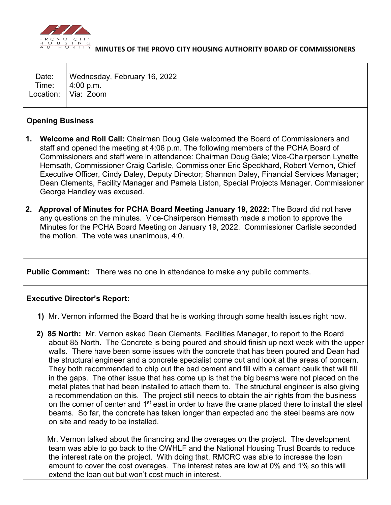

### **MINUTES OF THE PROVO CITY HOUSING AUTHORITY BOARD OF COMMISSIONERS**

| Date:   Wednesday, February 16, 2022   |
|----------------------------------------|
| Time: 4:00 p.m.<br>Location: Via: Zoom |
|                                        |

# **Opening Business**

- **1. Welcome and Roll Call:** Chairman Doug Gale welcomed the Board of Commissioners and staff and opened the meeting at 4:06 p.m. The following members of the PCHA Board of Commissioners and staff were in attendance: Chairman Doug Gale; Vice-Chairperson Lynette Hemsath, Commissioner Craig Carlisle, Commissioner Eric Speckhard, Robert Vernon, Chief Executive Officer, Cindy Daley, Deputy Director; Shannon Daley, Financial Services Manager; Dean Clements, Facility Manager and Pamela Liston, Special Projects Manager. Commissioner George Handley was excused.
- **2. Approval of Minutes for PCHA Board Meeting January 19, 2022:** The Board did not have any questions on the minutes. Vice-Chairperson Hemsath made a motion to approve the Minutes for the PCHA Board Meeting on January 19, 2022. Commissioner Carlisle seconded the motion. The vote was unanimous, 4:0.

**Public Comment:** There was no one in attendance to make any public comments.

#### **Executive Director's Report:**

- **1)** Mr. Vernon informed the Board that he is working through some health issues right now.
- **2) 85 North:** Mr. Vernon asked Dean Clements, Facilities Manager, to report to the Board about 85 North. The Concrete is being poured and should finish up next week with the upper walls. There have been some issues with the concrete that has been poured and Dean had the structural engineer and a concrete specialist come out and look at the areas of concern. They both recommended to chip out the bad cement and fill with a cement caulk that will fill in the gaps. The other issue that has come up is that the big beams were not placed on the metal plates that had been installed to attach them to. The structural engineer is also giving a recommendation on this. The project still needs to obtain the air rights from the business on the corner of center and 1<sup>st</sup> east in order to have the crane placed there to install the steel beams. So far, the concrete has taken longer than expected and the steel beams are now on site and ready to be installed.

 Mr. Vernon talked about the financing and the overages on the project. The development team was able to go back to the OWHLF and the National Housing Trust Boards to reduce the interest rate on the project. With doing that, RMCRC was able to increase the loan amount to cover the cost overages. The interest rates are low at 0% and 1% so this will extend the loan out but won't cost much in interest.